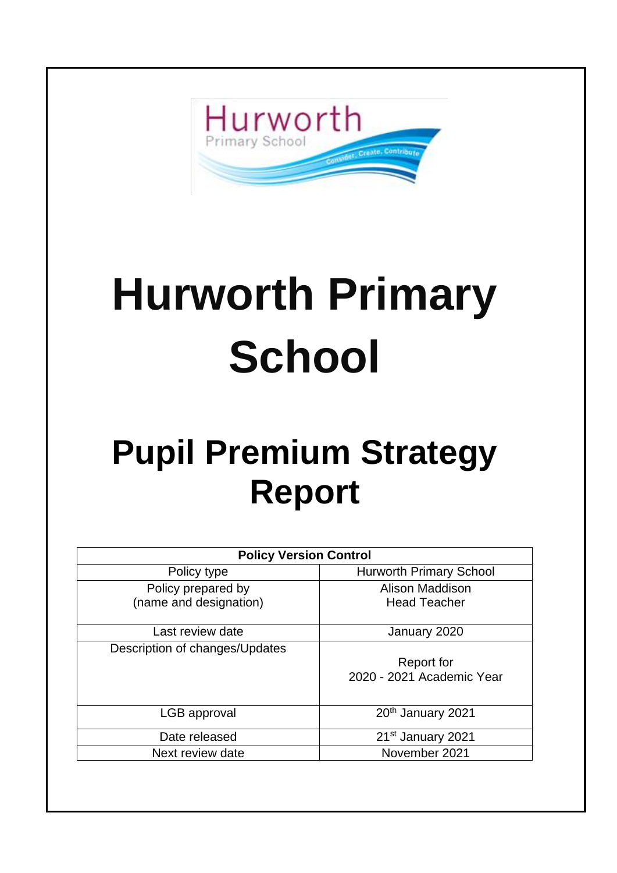

# **Hurworth Primary School**

## **Pupil Premium Strategy Report**

| <b>Policy Version Control</b>  |                                |
|--------------------------------|--------------------------------|
| Policy type                    | <b>Hurworth Primary School</b> |
| Policy prepared by             | Alison Maddison                |
| (name and designation)         | <b>Head Teacher</b>            |
|                                |                                |
| Last review date               | January 2020                   |
| Description of changes/Updates |                                |
|                                | Report for                     |
|                                | 2020 - 2021 Academic Year      |
|                                |                                |
| LGB approval                   | 20 <sup>th</sup> January 2021  |
| Date released                  | 21 <sup>st</sup> January 2021  |
| Next review date               | November 2021                  |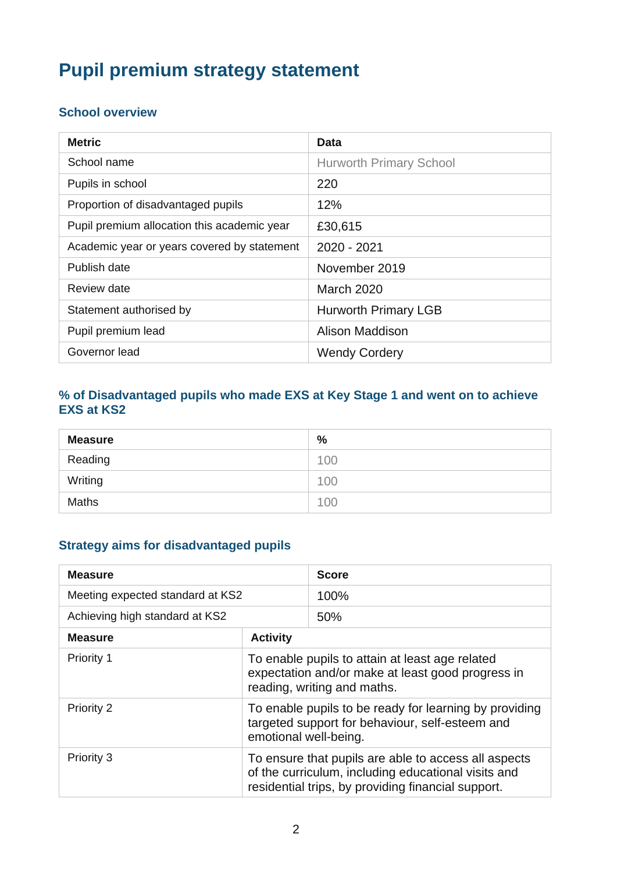### **Pupil premium strategy statement**

#### **School overview**

| <b>Metric</b>                               | Data                           |
|---------------------------------------------|--------------------------------|
| School name                                 | <b>Hurworth Primary School</b> |
| Pupils in school                            | 220                            |
| Proportion of disadvantaged pupils          | 12%                            |
| Pupil premium allocation this academic year | £30,615                        |
| Academic year or years covered by statement | 2020 - 2021                    |
| Publish date                                | November 2019                  |
| Review date                                 | <b>March 2020</b>              |
| Statement authorised by                     | <b>Hurworth Primary LGB</b>    |
| Pupil premium lead                          | <b>Alison Maddison</b>         |
| Governor lead                               | <b>Wendy Cordery</b>           |

#### **% of Disadvantaged pupils who made EXS at Key Stage 1 and went on to achieve EXS at KS2**

| <b>Measure</b> | %   |
|----------------|-----|
| Reading        | 100 |
| Writing        | 100 |
| <b>Maths</b>   | 100 |

#### **Strategy aims for disadvantaged pupils**

| <b>Measure</b>                   |                                                                                                                                                                   | <b>Score</b> |
|----------------------------------|-------------------------------------------------------------------------------------------------------------------------------------------------------------------|--------------|
| Meeting expected standard at KS2 |                                                                                                                                                                   | 100%         |
| Achieving high standard at KS2   |                                                                                                                                                                   | 50%          |
| <b>Measure</b>                   | <b>Activity</b>                                                                                                                                                   |              |
| Priority 1                       | To enable pupils to attain at least age related<br>expectation and/or make at least good progress in<br>reading, writing and maths.                               |              |
| Priority 2                       | To enable pupils to be ready for learning by providing<br>targeted support for behaviour, self-esteem and<br>emotional well-being.                                |              |
| Priority 3                       | To ensure that pupils are able to access all aspects<br>of the curriculum, including educational visits and<br>residential trips, by providing financial support. |              |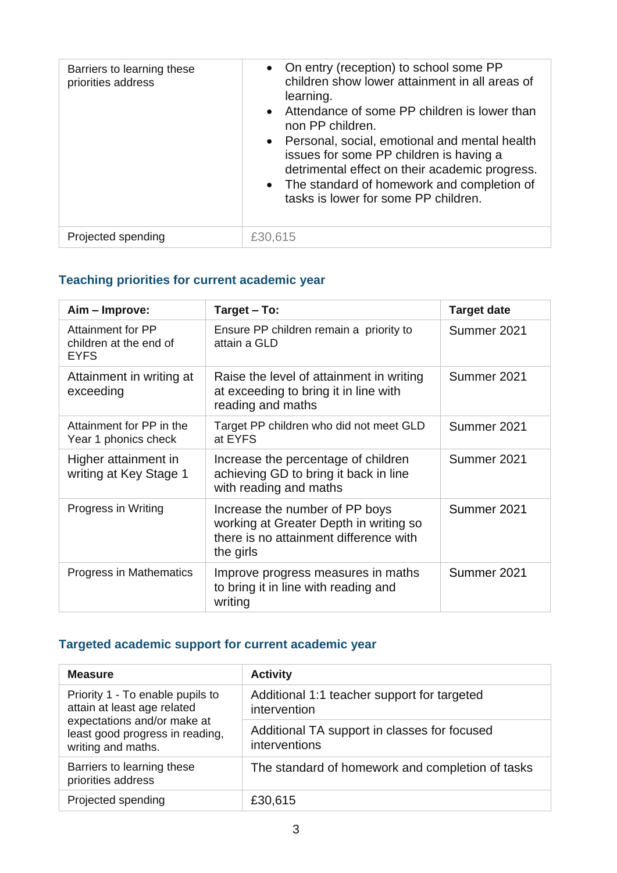| Barriers to learning these<br>priorities address | • On entry (reception) to school some PP<br>children show lower attainment in all areas of<br>learning.<br>• Attendance of some PP children is lower than<br>non PP children.<br>• Personal, social, emotional and mental health<br>issues for some PP children is having a<br>detrimental effect on their academic progress.<br>• The standard of homework and completion of<br>tasks is lower for some PP children. |
|--------------------------------------------------|-----------------------------------------------------------------------------------------------------------------------------------------------------------------------------------------------------------------------------------------------------------------------------------------------------------------------------------------------------------------------------------------------------------------------|
| Projected spending                               | £30,615                                                                                                                                                                                                                                                                                                                                                                                                               |

#### **Teaching priorities for current academic year**

| Aim - Improve:                                             | Target - To:                                                                                                                    | <b>Target date</b> |
|------------------------------------------------------------|---------------------------------------------------------------------------------------------------------------------------------|--------------------|
| Attainment for PP<br>children at the end of<br><b>EYFS</b> | Ensure PP children remain a priority to<br>attain a GLD                                                                         | Summer 2021        |
| Attainment in writing at<br>exceeding                      | Raise the level of attainment in writing<br>at exceeding to bring it in line with<br>reading and maths                          | Summer 2021        |
| Attainment for PP in the<br>Year 1 phonics check           | Target PP children who did not meet GLD<br>at EYFS                                                                              | Summer 2021        |
| Higher attainment in<br>writing at Key Stage 1             | Increase the percentage of children<br>achieving GD to bring it back in line<br>with reading and maths                          | Summer 2021        |
| Progress in Writing                                        | Increase the number of PP boys<br>working at Greater Depth in writing so<br>there is no attainment difference with<br>the girls | Summer 2021        |
| Progress in Mathematics                                    | Improve progress measures in maths<br>to bring it in line with reading and<br>writing                                           | Summer 2021        |

#### **Targeted academic support for current academic year**

| <b>Measure</b>                                                                                                                                          | <b>Activity</b>                                               |
|---------------------------------------------------------------------------------------------------------------------------------------------------------|---------------------------------------------------------------|
| Priority 1 - To enable pupils to<br>attain at least age related<br>expectations and/or make at<br>least good progress in reading,<br>writing and maths. | Additional 1:1 teacher support for targeted<br>intervention   |
|                                                                                                                                                         | Additional TA support in classes for focused<br>interventions |
| Barriers to learning these<br>priorities address                                                                                                        | The standard of homework and completion of tasks              |
| Projected spending                                                                                                                                      | £30,615                                                       |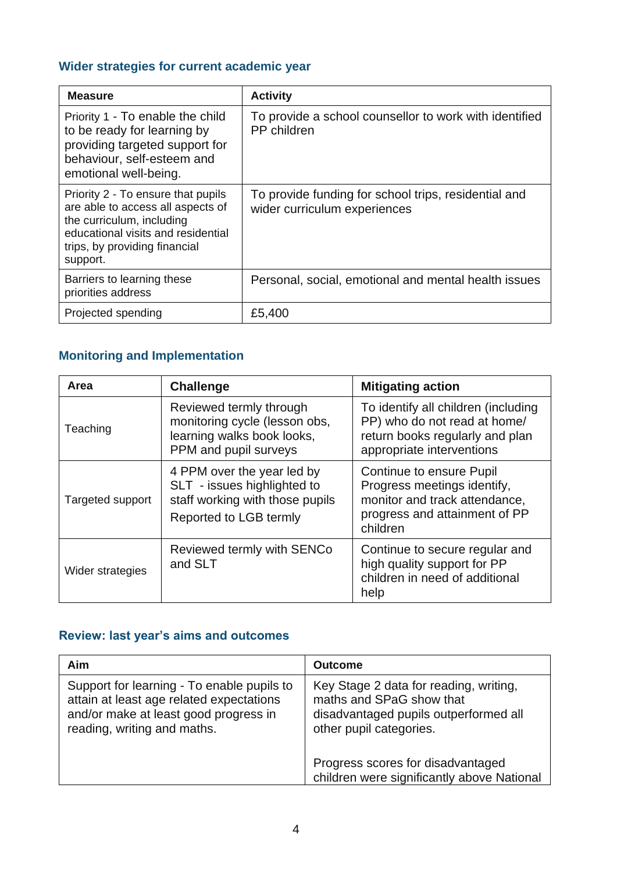#### **Wider strategies for current academic year**

| <b>Measure</b>                                                                                                                                                                          | <b>Activity</b>                                                                      |
|-----------------------------------------------------------------------------------------------------------------------------------------------------------------------------------------|--------------------------------------------------------------------------------------|
| Priority 1 - To enable the child<br>to be ready for learning by<br>providing targeted support for<br>behaviour, self-esteem and<br>emotional well-being.                                | To provide a school counsellor to work with identified<br>PP children                |
| Priority 2 - To ensure that pupils<br>are able to access all aspects of<br>the curriculum, including<br>educational visits and residential<br>trips, by providing financial<br>support. | To provide funding for school trips, residential and<br>wider curriculum experiences |
| Barriers to learning these<br>priorities address                                                                                                                                        | Personal, social, emotional and mental health issues                                 |
| Projected spending                                                                                                                                                                      | £5,400                                                                               |

#### **Monitoring and Implementation**

| Area             | <b>Challenge</b>                                                                                                       | <b>Mitigating action</b>                                                                                                              |
|------------------|------------------------------------------------------------------------------------------------------------------------|---------------------------------------------------------------------------------------------------------------------------------------|
| Teaching         | Reviewed termly through<br>monitoring cycle (lesson obs,<br>learning walks book looks,<br>PPM and pupil surveys        | To identify all children (including<br>PP) who do not read at home/<br>return books regularly and plan<br>appropriate interventions   |
| Targeted support | 4 PPM over the year led by<br>SLT - issues highlighted to<br>staff working with those pupils<br>Reported to LGB termly | Continue to ensure Pupil<br>Progress meetings identify,<br>monitor and track attendance,<br>progress and attainment of PP<br>children |
| Wider strategies | Reviewed termly with SENCo<br>and SLT                                                                                  | Continue to secure regular and<br>high quality support for PP<br>children in need of additional<br>help                               |

#### **Review: last year's aims and outcomes**

| Aim                                                                                                                                                            | <b>Outcome</b>                                                                                                                         |  |
|----------------------------------------------------------------------------------------------------------------------------------------------------------------|----------------------------------------------------------------------------------------------------------------------------------------|--|
| Support for learning - To enable pupils to<br>attain at least age related expectations<br>and/or make at least good progress in<br>reading, writing and maths. | Key Stage 2 data for reading, writing,<br>maths and SPaG show that<br>disadvantaged pupils outperformed all<br>other pupil categories. |  |
|                                                                                                                                                                | Progress scores for disadvantaged<br>children were significantly above National                                                        |  |